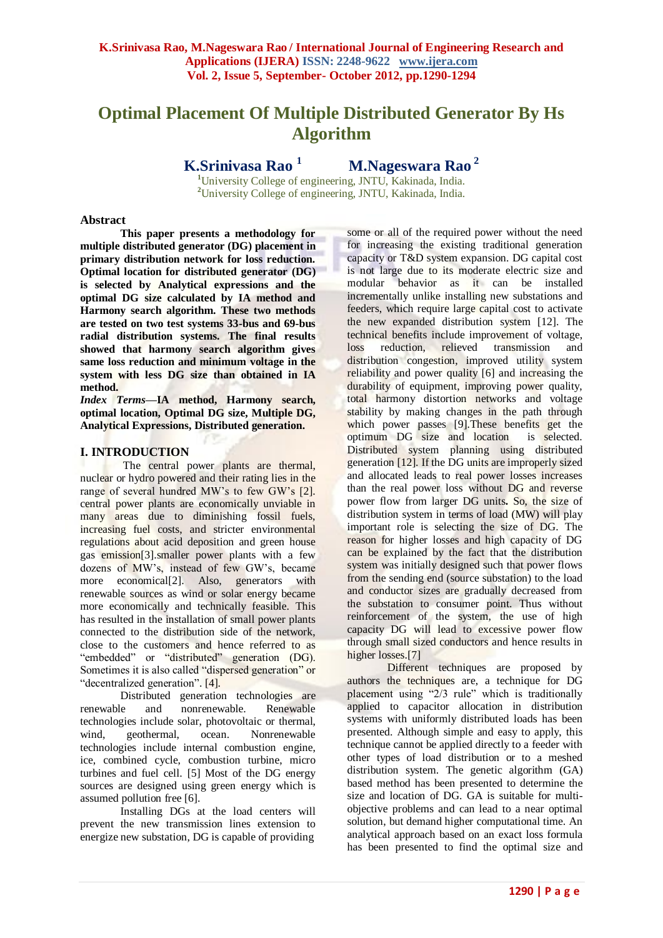# **Optimal Placement Of Multiple Distributed Generator By Hs Algorithm**

**K.Srinivasa Rao <sup>1</sup>**

 **M.Nageswara Rao <sup>2</sup>**

**<sup>1</sup>**University College of engineering, JNTU, Kakinada, India. **<sup>2</sup>**University College of engineering, JNTU, Kakinada, India*.*

## **Abstract**

**This paper presents a methodology for multiple distributed generator (DG) placement in primary distribution network for loss reduction. Optimal location for distributed generator (DG) is selected by Analytical expressions and the optimal DG size calculated by IA method and Harmony search algorithm. These two methods are tested on two test systems 33-bus and 69-bus radial distribution systems. The final results showed that harmony search algorithm gives same loss reduction and minimum voltage in the system with less DG size than obtained in IA method.**

*Index Terms***—IA method, Harmony search, optimal location, Optimal DG size, Multiple DG, Analytical Expressions, Distributed generation.**

# **I. INTRODUCTION**

The central power plants are thermal, nuclear or hydro powered and their rating lies in the range of several hundred MW's to few GW's [2]. central power plants are economically unviable in many areas due to diminishing fossil fuels, increasing fuel costs, and stricter environmental regulations about acid deposition and green house gas emission[3].smaller power plants with a few dozens of MW"s, instead of few GW"s, became more economical<sup>[2]</sup>. Also, generators with renewable sources as wind or solar energy became more economically and technically feasible. This has resulted in the installation of small power plants connected to the distribution side of the network, close to the customers and hence referred to as "embedded" or "distributed" generation (DG). Sometimes it is also called "dispersed generation" or "decentralized generation". [4].

Distributed generation technologies are renewable and nonrenewable. Renewable technologies include solar, photovoltaic or thermal, wind, geothermal, ocean. Nonrenewable technologies include internal combustion engine, ice, combined cycle, combustion turbine, micro turbines and fuel cell. [5] Most of the DG energy sources are designed using green energy which is assumed pollution free [6].

Installing DGs at the load centers will prevent the new transmission lines extension to energize new substation, DG is capable of providing some or all of the required power without the need for increasing the existing traditional generation capacity or T&D system expansion. DG capital cost is not large due to its moderate electric size and modular behavior as it can be installed incrementally unlike installing new substations and feeders, which require large capital cost to activate the new expanded distribution system [12]. The technical benefits include improvement of voltage, loss reduction, relieved transmission and distribution congestion, improved utility system reliability and power quality [6] and increasing the durability of equipment, improving power quality, total harmony distortion networks and voltage stability by making changes in the path through which power passes [9].These benefits get the optimum DG size and location is selected. Distributed system planning using distributed generation [12]. If the DG units are improperly sized and allocated leads to real power losses increases than the real power loss without DG and reverse power flow from larger DG units**.** So, the size of distribution system in terms of load (MW) will play important role is selecting the size of DG. The reason for higher losses and high capacity of DG can be explained by the fact that the distribution system was initially designed such that power flows from the sending end (source substation) to the load and conductor sizes are gradually decreased from the substation to consumer point. Thus without reinforcement of the system, the use of high capacity DG will lead to excessive power flow through small sized conductors and hence results in higher losses.<sup>[7]</sup>

Different techniques are proposed by authors the techniques are, a technique for DG placement using "2/3 rule" which is traditionally applied to capacitor allocation in distribution systems with uniformly distributed loads has been presented. Although simple and easy to apply, this technique cannot be applied directly to a feeder with other types of load distribution or to a meshed distribution system. The genetic algorithm (GA) based method has been presented to determine the size and location of DG. GA is suitable for multiobjective problems and can lead to a near optimal solution, but demand higher computational time. An analytical approach based on an exact loss formula has been presented to find the optimal size and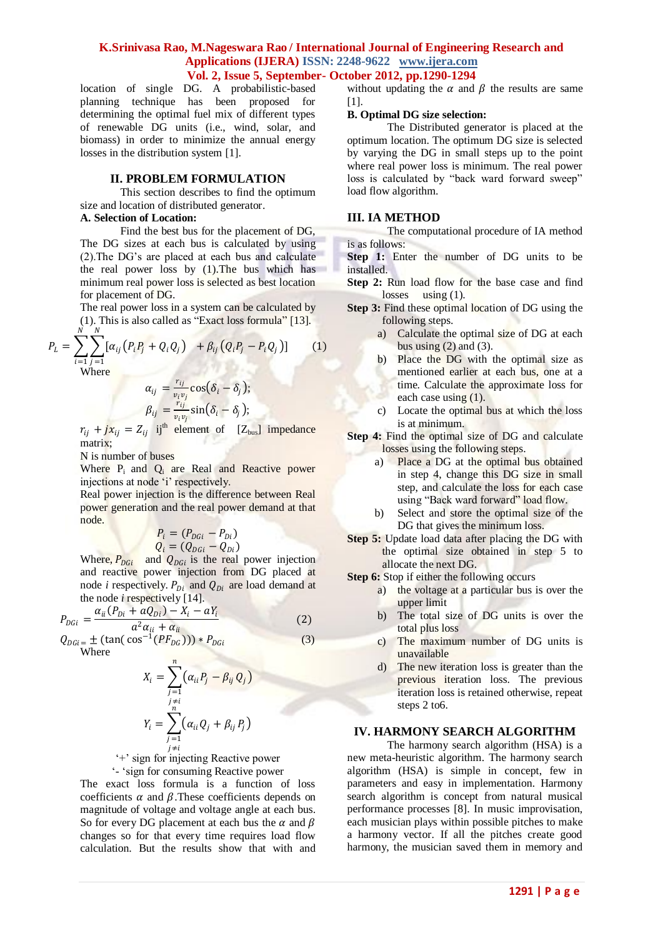location of single DG. A probabilistic-based planning technique has been proposed for determining the optimal fuel mix of different types of renewable DG units (i.e., wind, solar, and biomass) in order to minimize the annual energy losses in the distribution system [1].

## **II. PROBLEM FORMULATION**

This section describes to find the optimum size and location of distributed generator.

# **A. Selection of Location:**

Find the best bus for the placement of DG, The DG sizes at each bus is calculated by using (2).The DG"s are placed at each bus and calculate the real power loss by (1).The bus which has minimum real power loss is selected as best location for placement of DG.

The real power loss in a system can be calculated by (1). This is also called as "Exact loss formula" [13]. N

$$
P_{L} = \sum_{i=1}^{N} \sum_{j=1}^{N} [\alpha_{ij} (P_{i}P_{j} + Q_{i}Q_{j}) + \beta_{ij} (Q_{i}P_{j} - P_{i}Q_{j})]
$$
(1)  
Where

$$
\alpha_{ij} = \frac{r_{ij}}{v_i v_j} \cos(\delta_i - \delta_j);
$$
  
\n
$$
\beta_{ij} = \frac{r_{ij}}{v_i v_j} \sin(\delta_i - \delta_j);
$$

 $r_{ij} + jx_{ij} = Z_{ij}$  ij<sup>th</sup> element of [Z<sub>bus</sub>] impedance matrix;

N is number of buses

Where P<sub>i</sub> and Q<sub>i</sub> are Real and Reactive power injections at node 'i' respectively.

Real power injection is the difference between Real power generation and the real power demand at that node.

$$
P_i = (P_{DGi} - P_{Di})
$$
  

$$
Q_i = (Q_{DGi} - Q_{Di})
$$

Where,  $P_{DGi}$  and  $Q_{DGi}$  is the real power injection and reactive power injection from DG placed at node *i* respectively.  $P_{Di}$  and  $Q_{Di}$  are load demand at the node *i* respectively [14].

$$
P_{DGi} = \frac{\alpha_{ii}(P_{Di} + aQ_{Di}) - X_i - aY_i}{a^2 \alpha_{ii} + \alpha_{ii}}
$$
\n
$$
Q_{DGi} = \pm (\tan(\cos^{-1}(PF_{DG}))) * P_{DGi}
$$
\n(2)

 $Q_{DGi} = \pm \left( \tan(\cos^{-1}(PF_{DG})) \right) * P_{DGi}$ Where

$$
X_i = \sum_{\substack{j=1 \ j \neq i}}^n (\alpha_{ii} P_j - \beta_{ij} Q_j)
$$

$$
Y_i = \sum_{\substack{j=1 \ j \neq i}}^n (\alpha_{ii} Q_j + \beta_{ij} P_j)
$$

"+" sign for injecting Reactive power

"- "sign for consuming Reactive power

The exact loss formula is a function of loss coefficients  $\alpha$  and  $\beta$ . These coefficients depends on magnitude of voltage and voltage angle at each bus. So for every DG placement at each bus the  $\alpha$  and  $\beta$ changes so for that every time requires load flow calculation. But the results show that with and without updating the  $\alpha$  and  $\beta$  the results are same [1].

#### **B. Optimal DG size selection:**

The Distributed generator is placed at the optimum location. The optimum DG size is selected by varying the DG in small steps up to the point where real power loss is minimum. The real power loss is calculated by "back ward forward sweep" load flow algorithm.

#### **III. IA METHOD**

The computational procedure of IA method is as follows:

**Step 1:** Enter the number of DG units to be installed.

- **Step 2:** Run load flow for the base case and find losses using (1).
- **Step 3:** Find these optimal location of DG using the following steps.
	- a) Calculate the optimal size of DG at each bus using  $(2)$  and  $(3)$ .
	- b) Place the DG with the optimal size as mentioned earlier at each bus, one at a time. Calculate the approximate loss for each case using (1).
	- c) Locate the optimal bus at which the loss is at minimum.
- **Step 4:** Find the optimal size of DG and calculate losses using the following steps.
	- a) Place a DG at the optimal bus obtained in step 4, change this DG size in small step, and calculate the loss for each case using "Back ward forward" load flow.
	- b) Select and store the optimal size of the DG that gives the minimum loss.
- **Step 5:** Update load data after placing the DG with the optimal size obtained in step 5 to allocate the next DG.

**Step 6:** Stop if either the following occurs

- a) the voltage at a particular bus is over the upper limit
- b) The total size of DG units is over the total plus loss
- c) The maximum number of DG units is unavailable
- d) The new iteration loss is greater than the previous iteration loss. The previous iteration loss is retained otherwise, repeat steps 2 to6.

## **IV. HARMONY SEARCH ALGORITHM**

The harmony search algorithm (HSA) is a new meta-heuristic algorithm. The harmony search algorithm (HSA) is simple in concept, few in parameters and easy in implementation. Harmony search algorithm is concept from natural musical performance processes [8]. In music improvisation, each musician plays within possible pitches to make a harmony vector. If all the pitches create good harmony, the musician saved them in memory and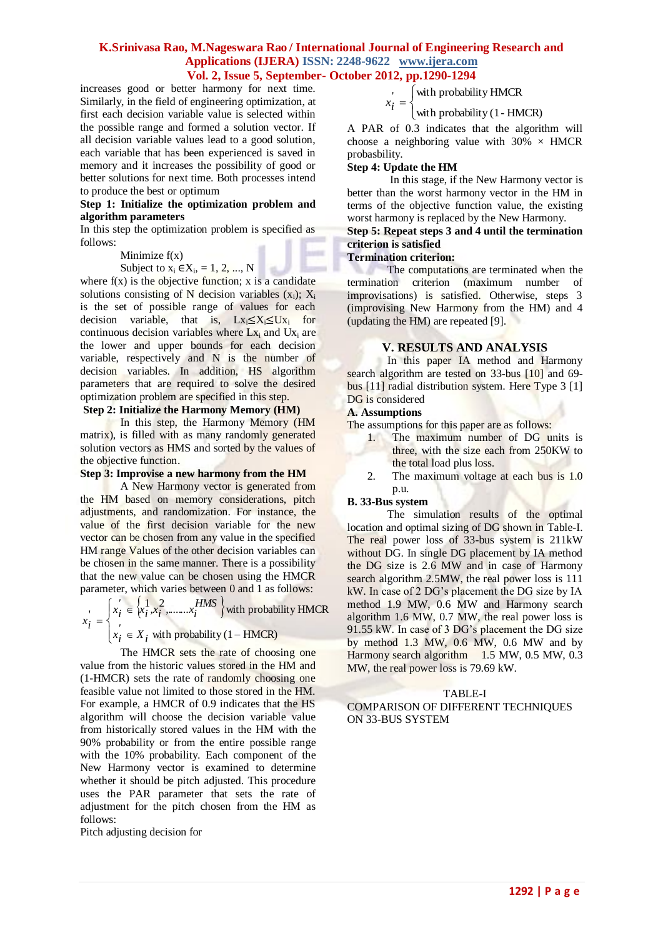increases good or better harmony for next time. Similarly, in the field of engineering optimization, at first each decision variable value is selected within the possible range and formed a solution vector. If all decision variable values lead to a good solution, each variable that has been experienced is saved in memory and it increases the possibility of good or better solutions for next time. Both processes intend to produce the best or optimum

#### **Step 1: Initialize the optimization problem and algorithm parameters**

In this step the optimization problem is specified as follows:

#### Minimize  $f(x)$

#### Subject to  $x_i \in X_i$ , = 1, 2, ..., N

where  $f(x)$  is the objective function; x is a candidate solutions consisting of N decision variables  $(x_i)$ ;  $X_i$ is the set of possible range of values for each decision variable, that is,  $Lx_i \leq X_i \leq Ux_i$  for continuous decision variables where  $Lx_i$  and  $Ux_i$  are the lower and upper bounds for each decision variable, respectively and N is the number of decision variables. In addition, HS algorithm parameters that are required to solve the desired optimization problem are specified in this step.

#### **Step 2: Initialize the Harmony Memory (HM)**

In this step, the Harmony Memory (HM matrix), is filled with as many randomly generated solution vectors as HMS and sorted by the values of the objective function.

## **Step 3: Improvise a new harmony from the HM**

A New Harmony vector is generated from the HM based on memory considerations, pitch adjustments, and randomization. For instance, the value of the first decision variable for the new vector can be chosen from any value in the specified HM range Values of the other decision variables can be chosen in the same manner. There is a possibility that the new value can be chosen using the HMCR parameter, which varies between 0 and 1 as follows:

 $\{x_i^1, x_i^2, \ldots, x_i^{HMS}\}\$  $\overline{\mathcal{L}}$  $\vert$ ↑  $\left($  $\in X_i$  with probability (1 –  $\in$  $=$ with probability  $(1 - HMCR)$  $\mathbf{w}_i = \begin{cases} x_i \in \{1, x_i^2, \dots, x_i^H\} \\ x_i \in \{1, x_i^H\} \end{cases}$  with probability HMCR  $x_i^{\prime} \in X_i$ *HMS*  $x_i^{\prime} \in \{x_i^1, x_i^2, \dots, x_i^1\}$ *i x*

The HMCR sets the rate of choosing one value from the historic values stored in the HM and (1-HMCR) sets the rate of randomly choosing one feasible value not limited to those stored in the HM. For example, a HMCR of 0.9 indicates that the HS algorithm will choose the decision variable value from historically stored values in the HM with the 90% probability or from the entire possible range with the 10% probability. Each component of the New Harmony vector is examined to determine whether it should be pitch adjusted. This procedure uses the PAR parameter that sets the rate of adjustment for the pitch chosen from the HM as follows:

Pitch adjusting decision for

$$
x_i = \begin{cases} \text{with probability HMCR} \\ \text{with probability (1 - HMCR)} \end{cases}
$$

A PAR of 0.3 indicates that the algorithm will choose a neighboring value with  $30\% \times HMCR$ probasbility.

#### **Step 4: Update the HM**

In this stage, if the New Harmony vector is better than the worst harmony vector in the HM in terms of the objective function value, the existing worst harmony is replaced by the New Harmony.

#### **Step 5: Repeat steps 3 and 4 until the termination criterion is satisfied**

#### **Termination criterion:**

The computations are terminated when the termination criterion (maximum number of improvisations) is satisfied. Otherwise, steps 3 (improvising New Harmony from the HM) and 4 (updating the HM) are repeated [9].

## **V. RESULTS AND ANALYSIS**

In this paper IA method and Harmony search algorithm are tested on 33-bus [10] and 69bus [11] radial distribution system. Here Type 3 [1] DG is considered

#### **A. Assumptions**

The assumptions for this paper are as follows:

- 1. The maximum number of DG units is three, with the size each from 250KW to the total load plus loss.
- 2. The maximum voltage at each bus is 1.0 p.u.

#### **B. 33-Bus system**

The simulation results of the optimal location and optimal sizing of DG shown in Table-I. The real power loss of 33-bus system is 211kW without DG. In single DG placement by IA method the DG size is 2.6 MW and in case of Harmony search algorithm 2.5MW, the real power loss is 111 kW. In case of 2 DG"s placement the DG size by IA method 1.9 MW, 0.6 MW and Harmony search algorithm 1.6 MW, 0.7 MW, the real power loss is 91.55 kW. In case of 3 DG"s placement the DG size by method 1.3 MW, 0.6 MW, 0.6 MW and by Harmony search algorithm 1.5 MW, 0.5 MW, 0.3 MW, the real power loss is 79.69 kW.

#### TABLE-I

COMPARISON OF DIFFERENT TECHNIQUES ON 33-BUS SYSTEM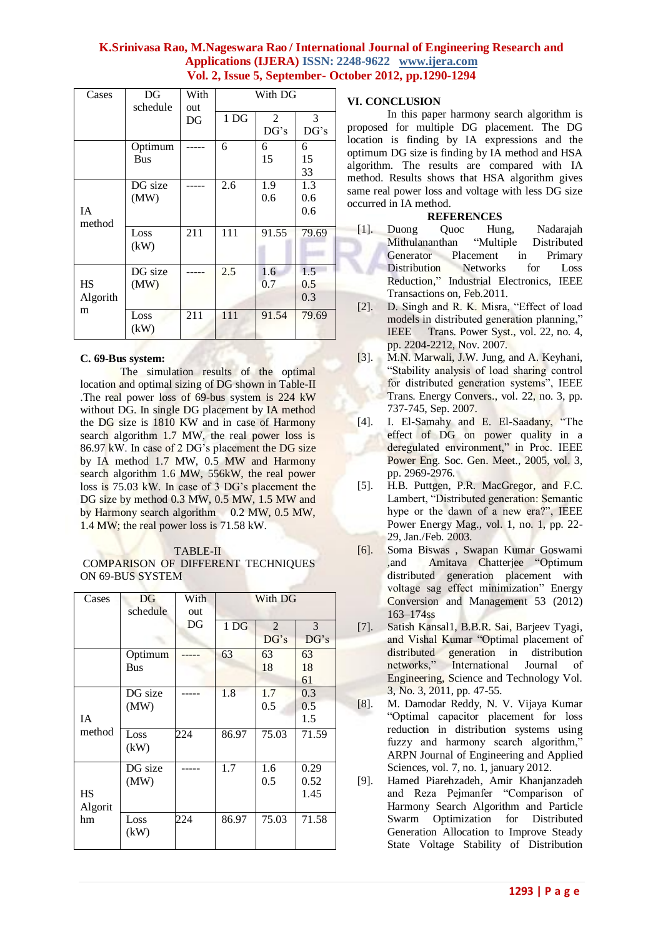| Cases                      | DG<br>schedule        | With<br>out | With DG         |            |                   |
|----------------------------|-----------------------|-------------|-----------------|------------|-------------------|
|                            |                       | DG          | 1 <sub>DG</sub> | 2<br>DG's  | 3<br>DG's         |
|                            | Optimum<br><b>Bus</b> |             | 6               | 6<br>15    | 6<br>15<br>33     |
| IA<br>method               | DG size<br>(MW)       |             | 2.6             | 1.9<br>0.6 | 1.3<br>0.6<br>0.6 |
|                            | Loss<br>(kW)          | 211         | 111             | 91.55      | 79.69             |
| <b>HS</b><br>Algorith<br>m | DG size<br>(MW)       |             | 2.5             | 1.6<br>0.7 | 1.5<br>0.5<br>0.3 |
|                            | Loss<br>(kW)          | 211         | 111             | 91.54      | 79.69             |

## **C. 69-Bus system:**

The simulation results of the optimal location and optimal sizing of DG shown in Table-II .The real power loss of 69-bus system is 224 kW without DG. In single DG placement by IA method the DG size is 1810 KW and in case of Harmony search algorithm 1.7 MW, the real power loss is 86.97 kW. In case of 2 DG"s placement the DG size by IA method 1.7 MW, 0.5 MW and Harmony search algorithm 1.6 MW, 556kW, the real power loss is 75.03 kW. In case of 3 DG"s placement the DG size by method 0.3 MW, 0.5 MW, 1.5 MW and by Harmony search algorithm 0.2 MW, 0.5 MW, 1.4 MW; the real power loss is 71.58 kW.

# TABLE-II

# COMPARISON OF DIFFERENT TECHNIQUES ON 69-BUS SYSTEM

| Cases     | DG         | With | With DG         |                |       |
|-----------|------------|------|-----------------|----------------|-------|
|           | schedule   | out  |                 |                |       |
|           |            | DG   | 1 <sub>DG</sub> | $\overline{2}$ | 3     |
|           |            |      |                 | DG's           | DG's  |
|           | Optimum    |      | 63              | 63             | 63    |
|           | <b>Bus</b> |      |                 | 18             | 18    |
|           |            |      |                 |                | 61    |
|           | DG size    |      | 1.8             | 1.7            | 0.3   |
|           | (MW)       |      |                 | 0.5            | 0.5   |
| <b>IA</b> |            |      |                 |                | 1.5   |
| method    | Loss       | 224  | 86.97           | 75.03          | 71.59 |
|           | (kW)       |      |                 |                |       |
|           | DG size    |      | 1.7             | 1.6            | 0.29  |
|           | (MW)       |      |                 | 0.5            | 0.52  |
| <b>HS</b> |            |      |                 |                | 1.45  |
| Algorit   |            |      |                 |                |       |
| hm        | Loss       | 224  | 86.97           | 75.03          | 71.58 |
|           | (kW)       |      |                 |                |       |

# **VI. CONCLUSION**

In this paper harmony search algorithm is proposed for multiple DG placement. The DG location is finding by IA expressions and the optimum DG size is finding by IA method and HSA algorithm. The results are compared with IA method. Results shows that HSA algorithm gives same real power loss and voltage with less DG size occurred in IA method.

# **REFERENCES**

- [1]. Duong Quoc Hung, Nadarajah Mithulananthan "Multiple Distributed Generator Placement in Primary Distribution Networks for Loss Reduction," Industrial Electronics, IEEE Transactions on, Feb.2011.
- [2]. D. Singh and R. K. Misra, "Effect of load models in distributed generation planning," IEEE Trans. Power Syst., vol. 22, no. 4, pp. 2204-2212, Nov. 2007.
- [3]. M.N. Marwali, J.W. Jung, and A. Keyhani, "Stability analysis of load sharing control for distributed generation systems", IEEE Trans. Energy Convers., vol. 22, no. 3, pp. 737-745, Sep. 2007.
- [4]. I. El-Samahy and E. El-Saadany, "The effect of DG on power quality in a deregulated environment," in Proc. IEEE Power Eng. Soc. Gen. Meet., 2005, vol. 3, pp. 2969-2976.
- [5]. H.B. Puttgen, P.R. MacGregor, and F.C. Lambert, "Distributed generation: Semantic hype or the dawn of a new era?", IEEE Power Energy Mag., vol. 1, no. 1, pp. 22- 29, Jan./Feb. 2003.
- [6]. Soma Biswas , Swapan Kumar Goswami ,and Amitava Chatterjee "Optimum distributed generation placement with voltage sag effect minimization" Energy Conversion and Management 53 (2012) 163–174ss
- [7]. Satish Kansal1, B.B.R. Sai, Barjeev Tyagi, and Vishal Kumar "Optimal placement of distributed generation in distribution networks," International Journal of Engineering, Science and Technology Vol. 3, No. 3, 2011, pp. 47-55.
- [8]. M. Damodar Reddy, N. V. Vijaya Kumar "Optimal capacitor placement for loss reduction in distribution systems using fuzzy and harmony search algorithm, ARPN Journal of Engineering and Applied Sciences, vol. 7, no. 1, january 2012.
- [9]. Hamed Piarehzadeh, Amir Khanjanzadeh and Reza Pejmanfer "Comparison of Harmony Search Algorithm and Particle Swarm Optimization for Distributed Generation Allocation to Improve Steady State Voltage Stability of Distribution